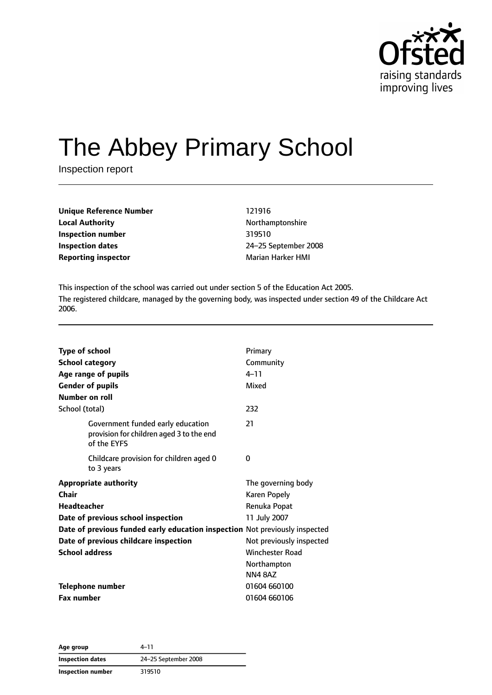

# The Abbey Primary School

Inspection report

| <b>Unique Reference Number</b> | 121916            |
|--------------------------------|-------------------|
| <b>Local Authority</b>         | Northamptonshire  |
| Inspection number              | 319510            |
| Inspection dates               | 24-25 September 2 |
| <b>Reporting inspector</b>     | Marian Harker HMI |

**Local Authority** Northamptonshire **Inspection number** 319510 **Inspection dates** 24–25 September 2008

This inspection of the school was carried out under section 5 of the Education Act 2005. The registered childcare, managed by the governing body, was inspected under section 49 of the Childcare Act 2006.

| <b>Type of school</b> | <b>School category</b>                                                                       | Primary<br>Community     |
|-----------------------|----------------------------------------------------------------------------------------------|--------------------------|
|                       | Age range of pupils                                                                          | $4 - 11$                 |
|                       | <b>Gender of pupils</b>                                                                      | Mixed                    |
| <b>Number on roll</b> |                                                                                              |                          |
| School (total)        |                                                                                              | 232                      |
|                       | Government funded early education<br>provision for children aged 3 to the end<br>of the EYFS | 21                       |
|                       | Childcare provision for children aged 0<br>to 3 years                                        | 0                        |
|                       | <b>Appropriate authority</b>                                                                 | The governing body       |
| Chair                 |                                                                                              | <b>Karen Popely</b>      |
| Headteacher           |                                                                                              | Renuka Popat             |
|                       | Date of previous school inspection                                                           | 11 July 2007             |
|                       | Date of previous funded early education inspection Not previously inspected                  |                          |
|                       | Date of previous childcare inspection                                                        | Not previously inspected |
| <b>School address</b> |                                                                                              | <b>Winchester Road</b>   |
|                       |                                                                                              | Northampton              |
|                       |                                                                                              | <b>NN48AZ</b>            |
|                       | <b>Telephone number</b>                                                                      | 01604 660100             |
| <b>Fax number</b>     |                                                                                              | 01604 660106             |

**Age group** 4–11 **Inspection dates** 24–25 September 2008 **Inspection number** 319510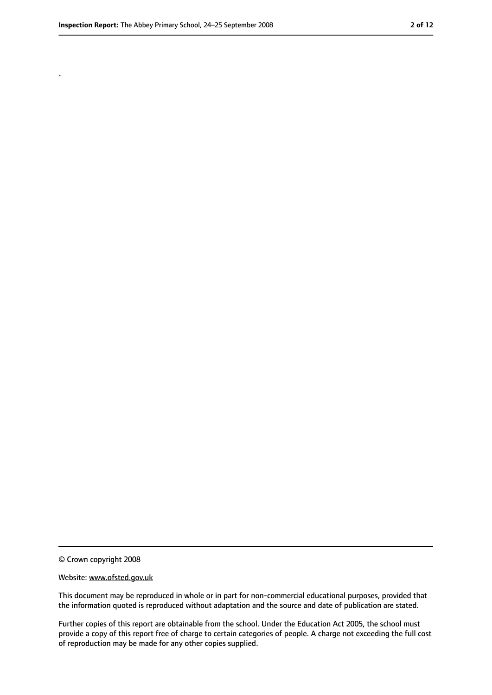.

<sup>©</sup> Crown copyright 2008

Website: www.ofsted.gov.uk

This document may be reproduced in whole or in part for non-commercial educational purposes, provided that the information quoted is reproduced without adaptation and the source and date of publication are stated.

Further copies of this report are obtainable from the school. Under the Education Act 2005, the school must provide a copy of this report free of charge to certain categories of people. A charge not exceeding the full cost of reproduction may be made for any other copies supplied.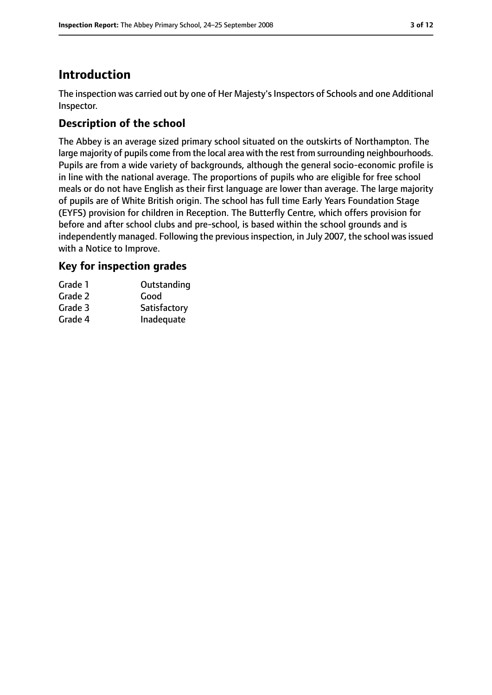# **Introduction**

The inspection was carried out by one of Her Majesty's Inspectors of Schools and one Additional Inspector.

# **Description of the school**

The Abbey is an average sized primary school situated on the outskirts of Northampton. The large majority of pupils come from the local area with the rest from surrounding neighbourhoods. Pupils are from a wide variety of backgrounds, although the general socio-economic profile is in line with the national average. The proportions of pupils who are eligible for free school meals or do not have English as their first language are lower than average. The large majority of pupils are of White British origin. The school has full time Early Years Foundation Stage (EYFS) provision for children in Reception. The Butterfly Centre, which offers provision for before and after school clubs and pre-school, is based within the school grounds and is independently managed. Following the previous inspection, in July 2007, the school was issued with a Notice to Improve.

## **Key for inspection grades**

| Grade 1 | Outstanding  |
|---------|--------------|
| Grade 2 | Good         |
| Grade 3 | Satisfactory |
| Grade 4 | Inadequate   |
|         |              |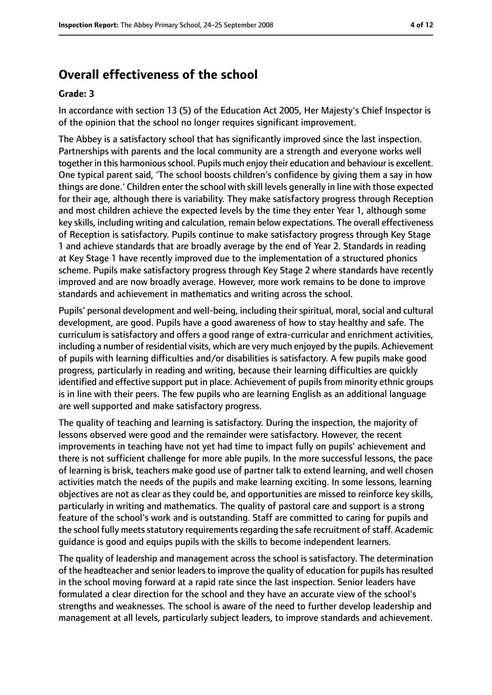## **Overall effectiveness of the school**

#### **Grade: 3**

In accordance with section 13 (5) of the Education Act 2005, Her Majesty's Chief Inspector is of the opinion that the school no longer requires significant improvement.

The Abbey is a satisfactory school that has significantly improved since the last inspection. Partnerships with parents and the local community are a strength and everyone works well together in this harmonious school. Pupils much enjoy their education and behaviour is excellent. One typical parent said, 'The school boosts children's confidence by giving them a say in how things are done.' Children enter the school with skill levels generally in line with those expected for their age, although there is variability. They make satisfactory progress through Reception and most children achieve the expected levels by the time they enter Year 1, although some key skills, including writing and calculation, remain below expectations. The overall effectiveness of Reception is satisfactory. Pupils continue to make satisfactory progress through Key Stage 1 and achieve standards that are broadly average by the end of Year 2. Standards in reading at Key Stage 1 have recently improved due to the implementation of a structured phonics scheme. Pupils make satisfactory progress through Key Stage 2 where standards have recently improved and are now broadly average. However, more work remains to be done to improve standards and achievement in mathematics and writing across the school.

Pupils' personal development and well-being, including their spiritual, moral, social and cultural development, are good. Pupils have a good awareness of how to stay healthy and safe. The curriculum is satisfactory and offers a good range of extra-curricular and enrichment activities, including a number of residential visits, which are very much enjoyed by the pupils. Achievement of pupils with learning difficulties and/or disabilities is satisfactory. A few pupils make good progress, particularly in reading and writing, because their learning difficulties are quickly identified and effective support put in place. Achievement of pupils from minority ethnic groups is in line with their peers. The few pupils who are learning English as an additional language are well supported and make satisfactory progress.

The quality of teaching and learning is satisfactory. During the inspection, the majority of lessons observed were good and the remainder were satisfactory. However, the recent improvements in teaching have not yet had time to impact fully on pupils' achievement and there is not sufficient challenge for more able pupils. In the more successful lessons, the pace of learning is brisk, teachers make good use of partner talk to extend learning, and well chosen activities match the needs of the pupils and make learning exciting. In some lessons, learning objectives are not as clear as they could be, and opportunities are missed to reinforce key skills, particularly in writing and mathematics. The quality of pastoral care and support is a strong feature of the school's work and is outstanding. Staff are committed to caring for pupils and the school fully meets statutory requirements regarding the safe recruitment of staff. Academic guidance is good and equips pupils with the skills to become independent learners.

The quality of leadership and management across the school is satisfactory. The determination of the headteacher and senior leadersto improve the quality of education for pupils hasresulted in the school moving forward at a rapid rate since the last inspection. Senior leaders have formulated a clear direction for the school and they have an accurate view of the school's strengths and weaknesses. The school is aware of the need to further develop leadership and management at all levels, particularly subject leaders, to improve standards and achievement.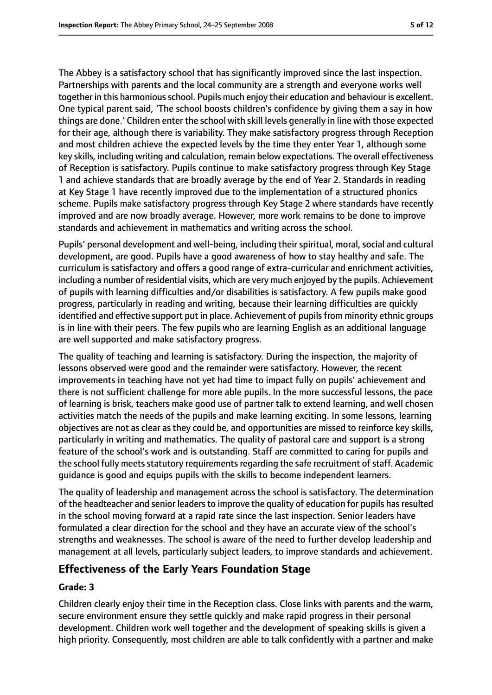The Abbey is a satisfactory school that has significantly improved since the last inspection. Partnerships with parents and the local community are a strength and everyone works well together in this harmoniousschool. Pupils much enjoy their education and behaviour is excellent. One typical parent said, 'The school boosts children's confidence by giving them a say in how things are done.' Children enter the school with skill levels generally in line with those expected for their age, although there is variability. They make satisfactory progress through Reception and most children achieve the expected levels by the time they enter Year 1, although some key skills, including writing and calculation, remain below expectations. The overall effectiveness of Reception is satisfactory. Pupils continue to make satisfactory progress through Key Stage 1 and achieve standards that are broadly average by the end of Year 2. Standards in reading at Key Stage 1 have recently improved due to the implementation of a structured phonics scheme. Pupils make satisfactory progress through Key Stage 2 where standards have recently improved and are now broadly average. However, more work remains to be done to improve standards and achievement in mathematics and writing across the school.

Pupils' personal development and well-being, including their spiritual, moral, social and cultural development, are good. Pupils have a good awareness of how to stay healthy and safe. The curriculum is satisfactory and offers a good range of extra-curricular and enrichment activities, including a number of residential visits, which are very much enjoyed by the pupils. Achievement of pupils with learning difficulties and/or disabilities is satisfactory. A few pupils make good progress, particularly in reading and writing, because their learning difficulties are quickly identified and effective support put in place. Achievement of pupils from minority ethnic groups is in line with their peers. The few pupils who are learning English as an additional language are well supported and make satisfactory progress.

The quality of teaching and learning is satisfactory. During the inspection, the majority of lessons observed were good and the remainder were satisfactory. However, the recent improvements in teaching have not yet had time to impact fully on pupils' achievement and there is not sufficient challenge for more able pupils. In the more successful lessons, the pace of learning is brisk, teachers make good use of partner talk to extend learning, and well chosen activities match the needs of the pupils and make learning exciting. In some lessons, learning objectives are not as clear as they could be, and opportunities are missed to reinforce key skills, particularly in writing and mathematics. The quality of pastoral care and support is a strong feature of the school's work and is outstanding. Staff are committed to caring for pupils and the school fully meets statutory requirements regarding the safe recruitment of staff. Academic guidance is good and equips pupils with the skills to become independent learners.

The quality of leadership and management across the school is satisfactory. The determination of the headteacher and senior leadersto improve the quality of education for pupils hasresulted in the school moving forward at a rapid rate since the last inspection. Senior leaders have formulated a clear direction for the school and they have an accurate view of the school's strengths and weaknesses. The school is aware of the need to further develop leadership and management at all levels, particularly subject leaders, to improve standards and achievement.

# **Effectiveness of the Early Years Foundation Stage**

#### **Grade: 3**

Children clearly enjoy their time in the Reception class. Close links with parents and the warm, secure environment ensure they settle quickly and make rapid progress in their personal development. Children work well together and the development of speaking skills is given a high priority. Consequently, most children are able to talk confidently with a partner and make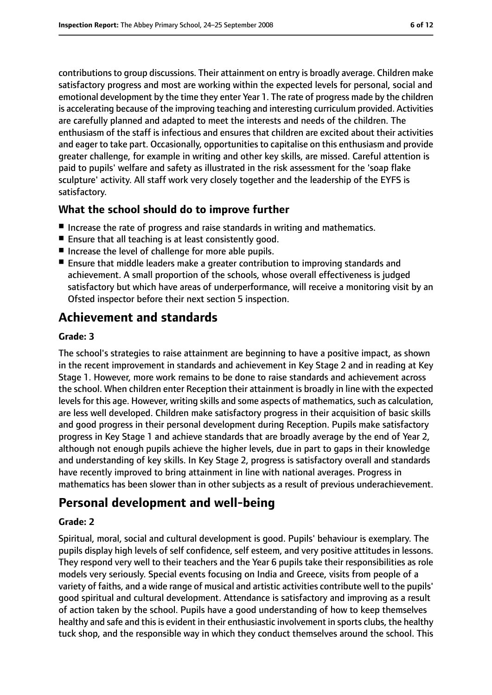contributions to group discussions. Their attainment on entry is broadly average. Children make satisfactory progress and most are working within the expected levels for personal, social and emotional development by the time they enter Year 1. The rate of progress made by the children is accelerating because of the improving teaching and interesting curriculum provided. Activities are carefully planned and adapted to meet the interests and needs of the children. The enthusiasm of the staff is infectious and ensures that children are excited about their activities and eager to take part. Occasionally, opportunities to capitalise on this enthusiasm and provide greater challenge, for example in writing and other key skills, are missed. Careful attention is paid to pupils' welfare and safety as illustrated in the risk assessment for the 'soap flake sculpture' activity. All staff work very closely together and the leadership of the EYFS is satisfactory.

## **What the school should do to improve further**

- Increase the rate of progress and raise standards in writing and mathematics.
- Ensure that all teaching is at least consistently good.
- Increase the level of challenge for more able pupils.
- Ensure that middle leaders make a greater contribution to improving standards and achievement. A small proportion of the schools, whose overall effectiveness is judged satisfactory but which have areas of underperformance, will receive a monitoring visit by an Ofsted inspector before their next section 5 inspection.

# **Achievement and standards**

#### **Grade: 3**

The school's strategies to raise attainment are beginning to have a positive impact, as shown in the recent improvement in standards and achievement in Key Stage 2 and in reading at Key Stage 1. However, more work remains to be done to raise standards and achievement across the school. When children enter Reception their attainment is broadly in line with the expected levels for this age. However, writing skills and some aspects of mathematics, such as calculation, are less well developed. Children make satisfactory progress in their acquisition of basic skills and good progress in their personal development during Reception. Pupils make satisfactory progress in Key Stage 1 and achieve standards that are broadly average by the end of Year 2, although not enough pupils achieve the higher levels, due in part to gaps in their knowledge and understanding of key skills. In Key Stage 2, progress is satisfactory overall and standards have recently improved to bring attainment in line with national averages. Progress in mathematics has been slower than in other subjects as a result of previous underachievement.

# **Personal development and well-being**

#### **Grade: 2**

Spiritual, moral, social and cultural development is good. Pupils' behaviour is exemplary. The pupils display high levels of self confidence, self esteem, and very positive attitudes in lessons. They respond very well to their teachers and the Year 6 pupils take their responsibilities as role models very seriously. Special events focusing on India and Greece, visits from people of a variety of faiths, and a wide range of musical and artistic activities contribute well to the pupils' good spiritual and cultural development. Attendance is satisfactory and improving as a result of action taken by the school. Pupils have a good understanding of how to keep themselves healthy and safe and this is evident in their enthusiastic involvement in sports clubs, the healthy tuck shop, and the responsible way in which they conduct themselves around the school. This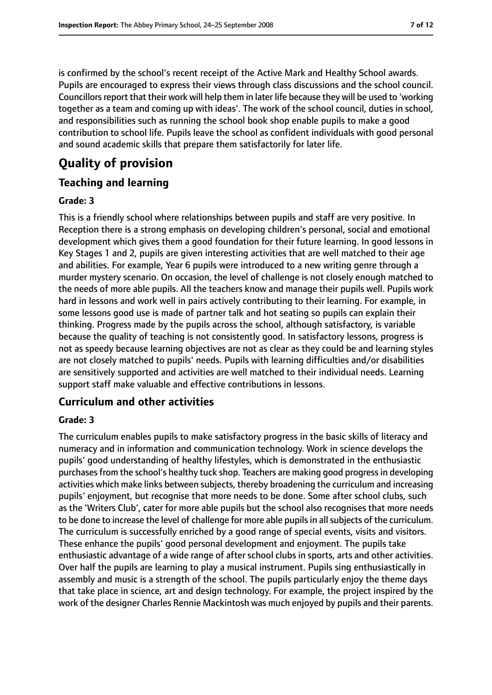is confirmed by the school's recent receipt of the Active Mark and Healthy School awards. Pupils are encouraged to express their views through class discussions and the school council. Councillors report that their work will help them in later life because they will be used to 'working together as a team and coming up with ideas'. The work of the school council, duties in school, and responsibilities such as running the school book shop enable pupils to make a good contribution to school life. Pupils leave the school as confident individuals with good personal and sound academic skills that prepare them satisfactorily for later life.

# **Quality of provision**

## **Teaching and learning**

#### **Grade: 3**

This is a friendly school where relationships between pupils and staff are very positive. In Reception there is a strong emphasis on developing children's personal, social and emotional development which gives them a good foundation for their future learning. In good lessons in Key Stages 1 and 2, pupils are given interesting activities that are well matched to their age and abilities. For example, Year 6 pupils were introduced to a new writing genre through a murder mystery scenario. On occasion, the level of challenge is not closely enough matched to the needs of more able pupils. All the teachers know and manage their pupils well. Pupils work hard in lessons and work well in pairs actively contributing to their learning. For example, in some lessons good use is made of partner talk and hot seating so pupils can explain their thinking. Progress made by the pupils across the school, although satisfactory, is variable because the quality of teaching is not consistently good. In satisfactory lessons, progress is not as speedy because learning objectives are not as clear as they could be and learning styles are not closely matched to pupils' needs. Pupils with learning difficulties and/or disabilities are sensitively supported and activities are well matched to their individual needs. Learning support staff make valuable and effective contributions in lessons.

#### **Curriculum and other activities**

#### **Grade: 3**

The curriculum enables pupils to make satisfactory progress in the basic skills of literacy and numeracy and in information and communication technology. Work in science develops the pupils' good understanding of healthy lifestyles, which is demonstrated in the enthusiastic purchases from the school's healthy tuck shop. Teachers are making good progress in developing activities which make links between subjects, thereby broadening the curriculum and increasing pupils' enjoyment, but recognise that more needs to be done. Some after school clubs, such as the 'Writers Club', cater for more able pupils but the school also recognises that more needs to be done to increase the level of challenge for more able pupils in all subjects of the curriculum. The curriculum is successfully enriched by a good range of special events, visits and visitors. These enhance the pupils' good personal development and enjoyment. The pupils take enthusiastic advantage of a wide range of after school clubs in sports, arts and other activities. Over half the pupils are learning to play a musical instrument. Pupils sing enthusiastically in assembly and music is a strength of the school. The pupils particularly enjoy the theme days that take place in science, art and design technology. For example, the project inspired by the work of the designer Charles Rennie Mackintosh was much enjoyed by pupils and their parents.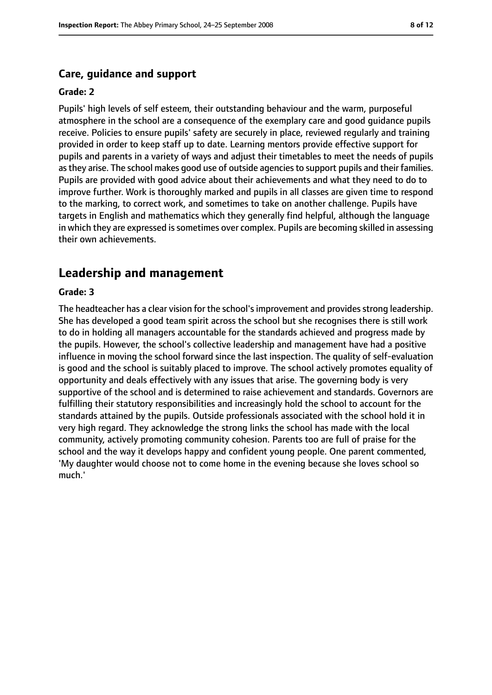#### **Care, guidance and support**

#### **Grade: 2**

Pupils' high levels of self esteem, their outstanding behaviour and the warm, purposeful atmosphere in the school are a consequence of the exemplary care and good guidance pupils receive. Policies to ensure pupils' safety are securely in place, reviewed regularly and training provided in order to keep staff up to date. Learning mentors provide effective support for pupils and parents in a variety of ways and adjust their timetables to meet the needs of pupils asthey arise. The school makes good use of outside agenciesto support pupils and their families. Pupils are provided with good advice about their achievements and what they need to do to improve further. Work is thoroughly marked and pupils in all classes are given time to respond to the marking, to correct work, and sometimes to take on another challenge. Pupils have targets in English and mathematics which they generally find helpful, although the language in which they are expressed is sometimes over complex. Pupils are becoming skilled in assessing their own achievements.

#### **Leadership and management**

#### **Grade: 3**

The headteacher has a clear vision for the school's improvement and provides strong leadership. She has developed a good team spirit across the school but she recognises there is still work to do in holding all managers accountable for the standards achieved and progress made by the pupils. However, the school's collective leadership and management have had a positive influence in moving the school forward since the last inspection. The quality of self-evaluation is good and the school is suitably placed to improve. The school actively promotes equality of opportunity and deals effectively with any issues that arise. The governing body is very supportive of the school and is determined to raise achievement and standards. Governors are fulfilling their statutory responsibilities and increasingly hold the school to account for the standards attained by the pupils. Outside professionals associated with the school hold it in very high regard. They acknowledge the strong links the school has made with the local community, actively promoting community cohesion. Parents too are full of praise for the school and the way it develops happy and confident young people. One parent commented, 'My daughter would choose not to come home in the evening because she loves school so much.'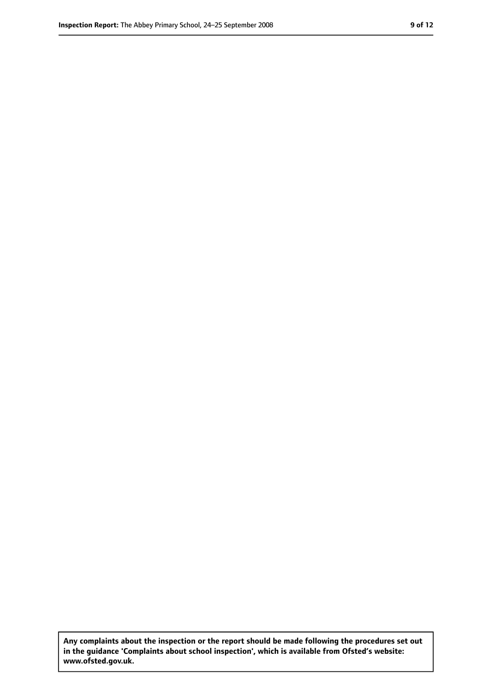**Any complaints about the inspection or the report should be made following the procedures set out in the guidance 'Complaints about school inspection', which is available from Ofsted's website: www.ofsted.gov.uk.**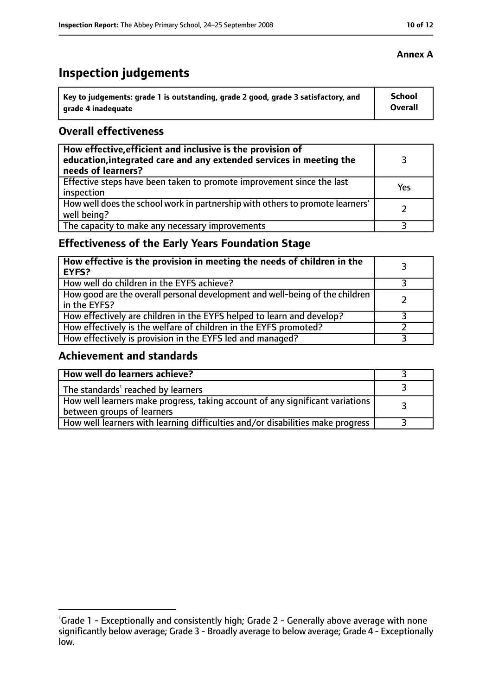# **Inspection judgements**

| Key to judgements: grade 1 is outstanding, grade 2 good, grade 3 satisfactory, and | <b>School</b>  |
|------------------------------------------------------------------------------------|----------------|
| arade 4 inadequate                                                                 | <b>Overall</b> |

## **Overall effectiveness**

| How effective, efficient and inclusive is the provision of<br>education, integrated care and any extended services in meeting the<br>needs of learners? |     |
|---------------------------------------------------------------------------------------------------------------------------------------------------------|-----|
| Effective steps have been taken to promote improvement since the last<br>inspection                                                                     | Yes |
| How well does the school work in partnership with others to promote learners'<br>well being?                                                            |     |
| The capacity to make any necessary improvements                                                                                                         |     |

# **Effectiveness of the Early Years Foundation Stage**

| How effective is the provision in meeting the needs of children in the<br><b>EYFS?</b>       |  |
|----------------------------------------------------------------------------------------------|--|
| How well do children in the EYFS achieve?                                                    |  |
| How good are the overall personal development and well-being of the children<br>in the EYFS? |  |
| How effectively are children in the EYFS helped to learn and develop?                        |  |
| How effectively is the welfare of children in the EYFS promoted?                             |  |
| How effectively is provision in the EYFS led and managed?                                    |  |

## **Achievement and standards**

| How well do learners achieve?                                                                               |  |
|-------------------------------------------------------------------------------------------------------------|--|
| The standards <sup>1</sup> reached by learners                                                              |  |
| How well learners make progress, taking account of any significant variations<br>between groups of learners |  |
| How well learners with learning difficulties and/or disabilities make progress                              |  |

<sup>&</sup>lt;sup>1</sup>Grade 1 - Exceptionally and consistently high; Grade 2 - Generally above average with none significantly below average; Grade 3 - Broadly average to below average; Grade 4 - Exceptionally low.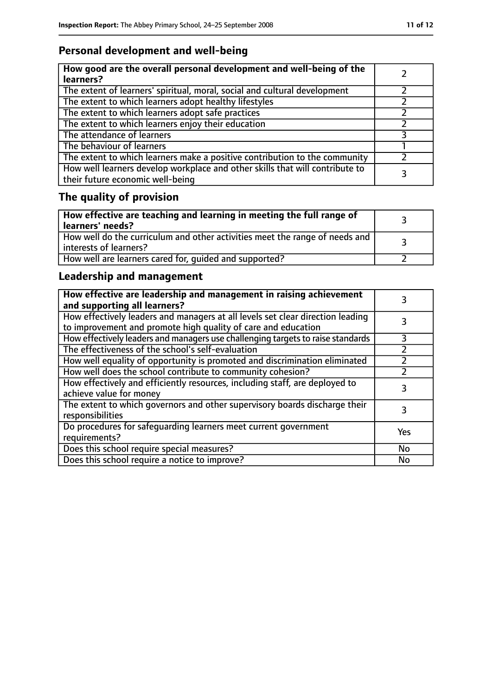# **Personal development and well-being**

| How good are the overall personal development and well-being of the<br>learners?                                 |  |
|------------------------------------------------------------------------------------------------------------------|--|
| The extent of learners' spiritual, moral, social and cultural development                                        |  |
| The extent to which learners adopt healthy lifestyles                                                            |  |
| The extent to which learners adopt safe practices                                                                |  |
| The extent to which learners enjoy their education                                                               |  |
| The attendance of learners                                                                                       |  |
| The behaviour of learners                                                                                        |  |
| The extent to which learners make a positive contribution to the community                                       |  |
| How well learners develop workplace and other skills that will contribute to<br>their future economic well-being |  |

# **The quality of provision**

| How effective are teaching and learning in meeting the full range of<br>learners' needs?              |  |
|-------------------------------------------------------------------------------------------------------|--|
| How well do the curriculum and other activities meet the range of needs and<br>interests of learners? |  |
| How well are learners cared for, quided and supported?                                                |  |

# **Leadership and management**

| How effective are leadership and management in raising achievement<br>and supporting all learners?                                              |           |
|-------------------------------------------------------------------------------------------------------------------------------------------------|-----------|
| How effectively leaders and managers at all levels set clear direction leading<br>to improvement and promote high quality of care and education |           |
| How effectively leaders and managers use challenging targets to raise standards                                                                 | 3         |
| The effectiveness of the school's self-evaluation                                                                                               |           |
| How well equality of opportunity is promoted and discrimination eliminated                                                                      |           |
| How well does the school contribute to community cohesion?                                                                                      |           |
| How effectively and efficiently resources, including staff, are deployed to<br>achieve value for money                                          | 3         |
| The extent to which governors and other supervisory boards discharge their<br>responsibilities                                                  | 3         |
| Do procedures for safequarding learners meet current government<br>requirements?                                                                | Yes       |
| Does this school require special measures?                                                                                                      | No        |
| Does this school require a notice to improve?                                                                                                   | <b>No</b> |